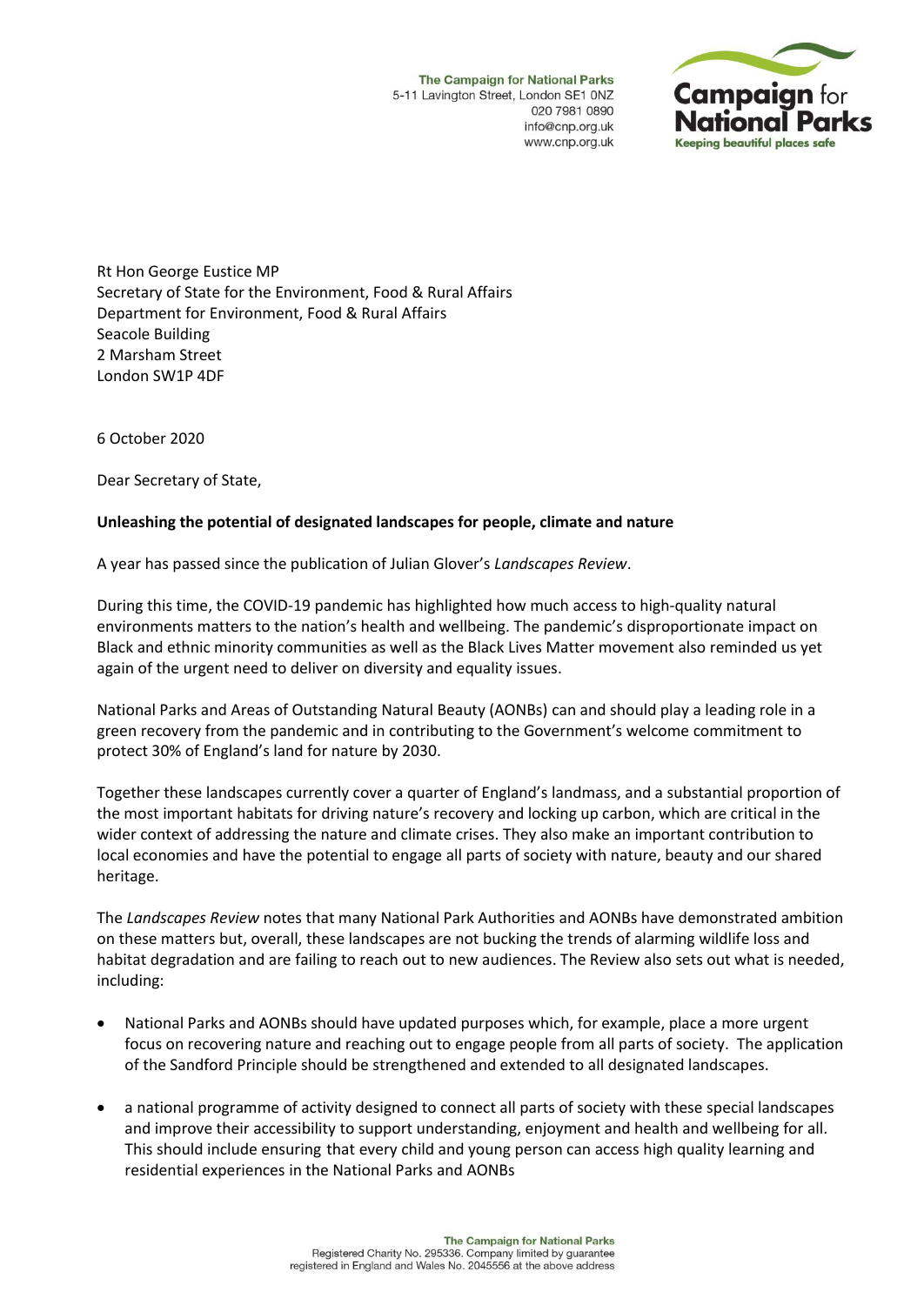The Campaign for National Parks 5-11 Lavington Street, London SE1 0NZ 020 7981 0890 info@cnp.org.uk www.cnp.org.uk



Rt Hon George Eustice MP Secretary of State for the Environment, Food & Rural Affairs Department for Environment, Food & Rural Affairs Seacole Building 2 Marsham Street London SW1P 4DF

6 October 2020

Dear Secretary of State,

## **Unleashing the potential of designated landscapes for people, climate and nature**

A year has passed since the publication of Julian Glover's *Landscapes Review*.

During this time, the COVID-19 pandemic has highlighted how much access to high-quality natural environments matters to the nation's health and wellbeing. The pandemic's disproportionate impact on Black and ethnic minority communities as well as the Black Lives Matter movement also reminded us yet again of the urgent need to deliver on diversity and equality issues.

National Parks and Areas of Outstanding Natural Beauty (AONBs) can and should play a leading role in a green recovery from the pandemic and in contributing to the Government's welcome commitment to protect 30% of England's land for nature by 2030.

Together these landscapes currently cover a quarter of England's landmass, and a substantial proportion of the most important habitats for driving nature's recovery and locking up carbon, which are critical in the wider context of addressing the nature and climate crises. They also make an important contribution to local economies and have the potential to engage all parts of society with nature, beauty and our shared heritage.

The *Landscapes Review* notes that many National Park Authorities and AONBs have demonstrated ambition on these matters but, overall, these landscapes are not bucking the trends of alarming wildlife loss and habitat degradation and are failing to reach out to new audiences. The Review also sets out what is needed, including:

- National Parks and AONBs should have updated purposes which, for example, place a more urgent focus on recovering nature and reaching out to engage people from all parts of society. The application of the Sandford Principle should be strengthened and extended to all designated landscapes.
- a national programme of activity designed to connect all parts of society with these special landscapes and improve their accessibility to support understanding, enjoyment and health and wellbeing for all. This should include ensuring that every child and young person can access high quality learning and residential experiences in the National Parks and AONBs